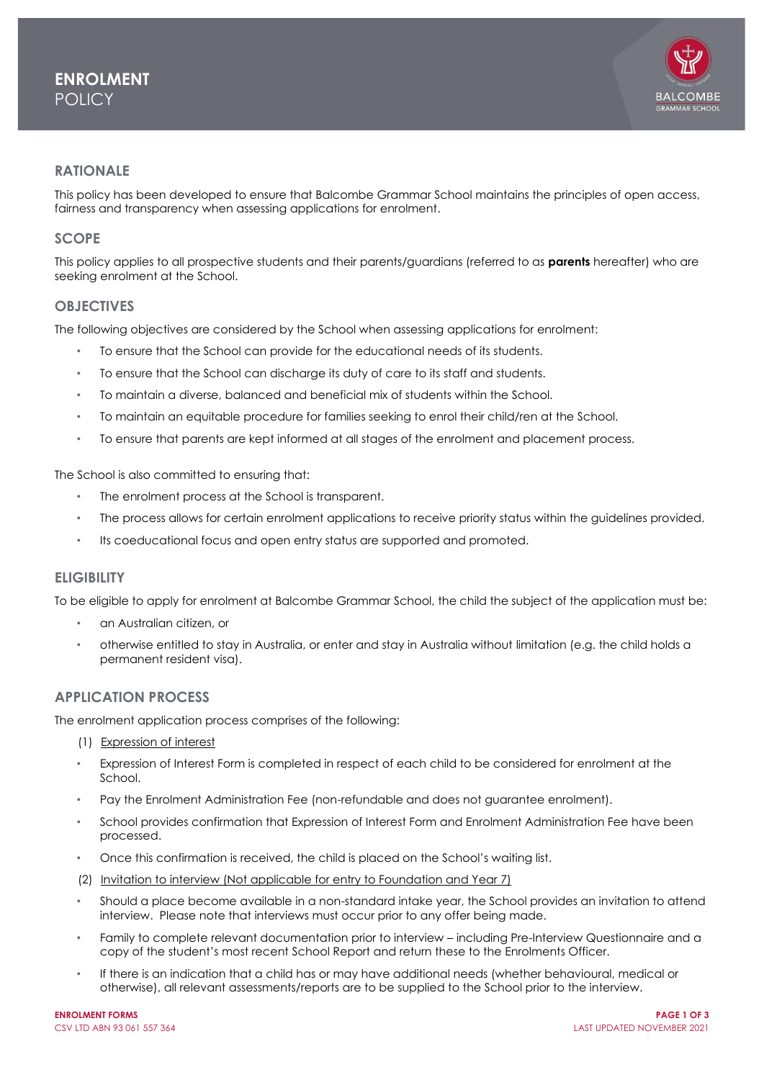

## **RATIONALE**

This policy has been developed to ensure that Balcombe Grammar School maintains the principles of open access, fairness and transparency when assessing applications for enrolment.

### **SCOPE**

This policy applies to all prospective students and their parents/guardians (referred to as **parents** hereafter) who are seeking enrolment at the School.

### **OBJECTIVES**

The following objectives are considered by the School when assessing applications for enrolment:

- To ensure that the School can provide for the educational needs of its students.
- To ensure that the School can discharge its duty of care to its staff and students.
- To maintain a diverse, balanced and beneficial mix of students within the School.
- To maintain an equitable procedure for families seeking to enrol their child/ren at the School.
- To ensure that parents are kept informed at all stages of the enrolment and placement process.

The School is also committed to ensuring that:

- The enrolment process at the School is transparent.
- The process allows for certain enrolment applications to receive priority status within the guidelines provided.
- Its coeducational focus and open entry status are supported and promoted.

### **ELIGIBILITY**

To be eligible to apply for enrolment at Balcombe Grammar School, the child the subject of the application must be:

- an Australian citizen, or
- otherwise entitled to stay in Australia, or enter and stay in Australia without limitation (e.g. the child holds a permanent resident visa).

## **APPLICATION PROCESS**

The enrolment application process comprises of the following:

- (1) Expression of interest
- Expression of Interest Form is completed in respect of each child to be considered for enrolment at the School.
- Pay the Enrolment Administration Fee (non-refundable and does not guarantee enrolment).
- School provides confirmation that Expression of Interest Form and Enrolment Administration Fee have been processed.
- Once this confirmation is received, the child is placed on the School's waiting list.
- (2) Invitation to interview (Not applicable for entry to Foundation and Year 7)
- Should a place become available in a non-standard intake year, the School provides an invitation to attend interview. Please note that interviews must occur prior to any offer being made.
- Family to complete relevant documentation prior to interview including Pre-Interview Questionnaire and a copy of the student's most recent School Report and return these to the Enrolments Officer.
- If there is an indication that a child has or may have additional needs (whether behavioural, medical or otherwise), all relevant assessments/reports are to be supplied to the School prior to the interview.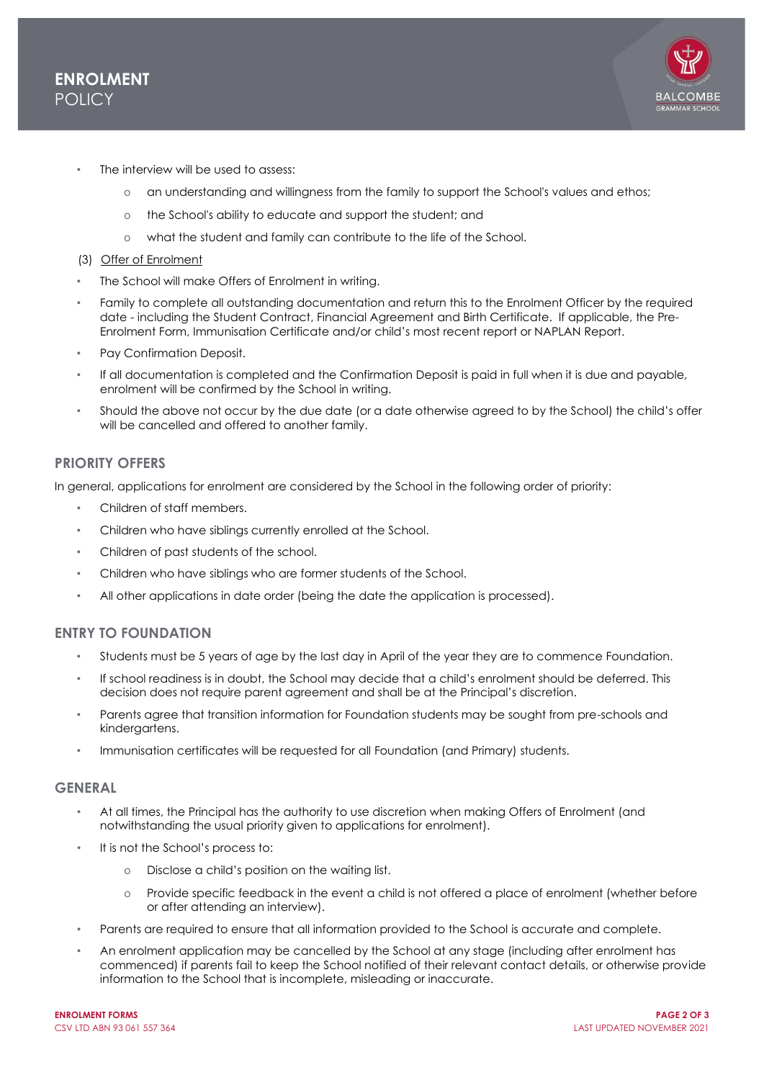

- The interview will be used to assess:
	- o an understanding and willingness from the family to support the School's values and ethos;
	- o the School's ability to educate and support the student; and
	- o what the student and family can contribute to the life of the School.
- (3) Offer of Enrolment
- The School will make Offers of Enrolment in writing.
- Family to complete all outstanding documentation and return this to the Enrolment Officer by the required date - including the Student Contract, Financial Agreement and Birth Certificate. If applicable, the Pre-Enrolment Form, Immunisation Certificate and/or child's most recent report or NAPLAN Report.
- Pay Confirmation Deposit.
- If all documentation is completed and the Confirmation Deposit is paid in full when it is due and payable, enrolment will be confirmed by the School in writing.
- Should the above not occur by the due date (or a date otherwise agreed to by the School) the child's offer will be cancelled and offered to another family.

# **PRIORITY OFFERS**

In general, applications for enrolment are considered by the School in the following order of priority:

- Children of staff members.
- Children who have siblings currently enrolled at the School.
- Children of past students of the school.
- Children who have siblings who are former students of the School.
- All other applications in date order (being the date the application is processed).

# **ENTRY TO FOUNDATION**

- Students must be 5 years of age by the last day in April of the year they are to commence Foundation.
- If school readiness is in doubt, the School may decide that a child's enrolment should be deferred. This decision does not require parent agreement and shall be at the Principal's discretion.
- Parents agree that transition information for Foundation students may be sought from pre-schools and kindergartens.
- Immunisation certificates will be requested for all Foundation (and Primary) students.

### **GENERAL**

- At all times, the Principal has the authority to use discretion when making Offers of Enrolment (and notwithstanding the usual priority given to applications for enrolment).
- It is not the School's process to:
	- o Disclose a child's position on the waiting list.
	- o Provide specific feedback in the event a child is not offered a place of enrolment (whether before or after attending an interview).
- Parents are required to ensure that all information provided to the School is accurate and complete.
- An enrolment application may be cancelled by the School at any stage (including after enrolment has commenced) if parents fail to keep the School notified of their relevant contact details, or otherwise provide information to the School that is incomplete, misleading or inaccurate.